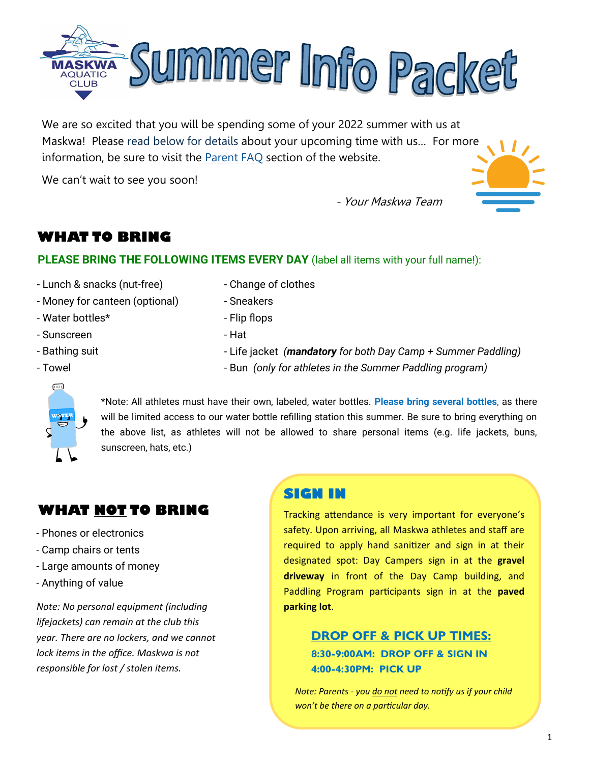

We are so excited that you will be spending some of your 2022 summer with us at Maskwa! Please read below for details about your upcoming time with us… For more information, be sure to visit the **[Parent FAQ](https://maskwa.ca/parent-info/)** section of the website.

We can't wait to see you soon!

- Your Maskwa Team



# **WHAT TO BRING**

## **PLEASE BRING THE FOLLOWING ITEMS EVERY DAY** (label all items with your full name!):

- Lunch & snacks (nut-free)
- Money for canteen (optional)
- Water bottles\*
- Sunscreen
- Bathing suit
- Towel
- Change of clothes
- Sneakers
- Flip flops
- Hat
- Life jacket *(mandatory for both Day Camp + Summer Paddling)*
- Bun *(only for athletes in the Summer Paddling program)*



\*Note: All athletes must have their own, labeled, water bottles. **Please bring several bottles**, as there will be limited access to our water bottle refilling station this summer. Be sure to bring everything on the above list, as athletes will not be allowed to share personal items (e.g. life jackets, buns, sunscreen, hats, etc.)

# **WHAT NOT TO BRING**

- Phones or electronics
- Camp chairs or tents
- Large amounts of money
- Anything of value

*Note: No personal equipment (including lifejackets) can remain at the club this year. There are no lockers, and we cannot lock items in the office. Maskwa is not responsible for lost / stolen items.*

## **SIGN IN**

Tracking attendance is very important for everyone's safety. Upon arriving, all Maskwa athletes and staff are required to apply hand sanitizer and sign in at their designated spot: Day Campers sign in at the **gravel driveway** in front of the Day Camp building, and Paddling Program participants sign in at the **paved parking lot**.

## **DROP OFF & PICK UP TIMES: 8:30-9:00AM: DROP OFF & SIGN IN 4:00-4:30PM: PICK UP**

*Note: Parents - you do not need to notify us if your child won't be there on a particular day.*